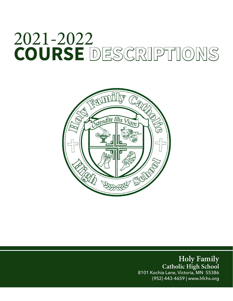# 2021-2022 **COURSE DESCRIPTIONS**



**Holy Family Catholic High School** 8101 Kochia Lane, Victoria, MN 55386 (952) 443-4659 | www.hfchs.org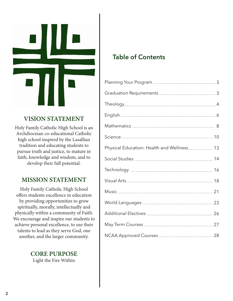

# **VISION STATEMENT**

Holy Family Catholic High School is an Archdiocesan co-educational Catholic high school inspired by the Lasallian tradition and educating students to pursue truth and justice, to mature in faith, knowledge and wisdom, and to develop their full potential.

# **MISSION STATEMENT**

Holy Family Catholic High School offers students excellence in education by providing opportunities to grow spiritually, morally, intellectually and physically within a community of Faith. We encourage and inspire our students to achieve personal excellence, to use their talents to lead as they serve God, one another, and the larger community.

> **CORE PURPOSE** Light the Fire Within

# **Table of Contents**

| Physical Education: Health and Wellness 13 |
|--------------------------------------------|
|                                            |
|                                            |
|                                            |
|                                            |
|                                            |
|                                            |
|                                            |
|                                            |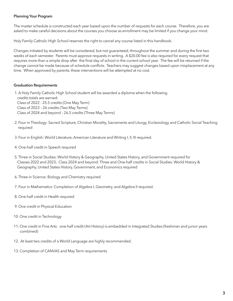#### **Planning Your Program**

The master schedule is constructed each year based upon the number of requests for each course. Therefore, you are asked to make careful decisions about the courses you choose as enrollment may be limited if you change your mind.

Holy Family Catholic High School reserves the right to cancel any course listed in this handbook.

Changes initiated by students will be considered, but not guaranteed, throughout the summer and during the first two weeks of each semester. Parents must approve requests in writing. A \$20.00 fee is also required for every request that requires more than a simple drop after the final day of school in the current school year. The fee will be returned if the change cannot be made because of schedule conflicts. Teachers may suggest changes based upon misplacement at any time. When approved by parents, these interventions will be attempted at no cost.

#### **Graduation Requirements**

 1. A Holy Family Catholic High School student will be awarded a diploma when the following credits totals are earned: Class of 2022 - 25.5 credits (One May Term) Class of 2023 – 26 credits (Two May Terms) Class of 2024 and beyond – 26.5 credits (Three May Terms)

- 2. Four in Theology: Sacred Scripture, Christian Morality, Sacraments and Liturgy, Ecclesiology and Catholic Social Teaching required
- 3. Four in English: World Literature, American Literature and Writing I, II, III required.
- 4. One-half credit in Speech required
- 5. Three in Social Studies: World History & Geography, United States History, and Government required for Classes 2022 and 2023; Class 2024 and beyond: Three and One-half credits in Social Studies: World History & Geography, United States History, Government, and Economics required
- 6. Three in Science: Biology and Chemistry required
- 7. Four in Mathematics: Completion of Algebra I, Geometry, and Algebra II required.
- 8. One-half credit in Health required
- 9. One credit in Physical Education
- 10. One credit in Technology
- 11. One credit in Fine Arts: one-half credit (Art History) is embedded in Integrated Studies (freshman and junior years combined)
- 12. At least two credits of a World Language are highly recommended.
- 13. Completion of CANVAS and May Term requirements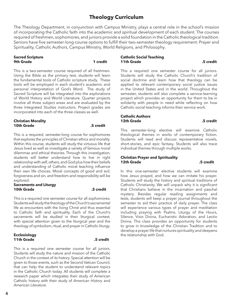# **Theology Curriculum**

The Theology Department, in conjunction with Campus Ministry, plays a central role in the school's mission of incorporating the Catholic faith into the academic and spiritual development of each student. The courses required of freshmen, sophomores, and juniors provide a solid foundation in the Catholic theological tradition. Seniors have five semester-long course options to fulfill their two-semester theology requirement: Prayer and Spirituality, Catholic Authors, Campus Ministry, World Religions, and Philosophy.

#### **Sacred Scripture 9th Grade 1 credit**

This is a two-semester course required of all freshmen. Using the Bible as the primary text, students will learn the fundamental tools of Catholic scripture study. These tools will be employed in each student's academic and personal interpretation of God's Word. The study of Sacred Scripture will be integrated into the explorations of World History and World Literature. Quarter projects involve all three subject areas and are evaluated by the three Integrated Studies instructors. Project grades are incorporated into each of the three classes as well.

#### **Christian Morality 10th Grade .5 credit**

This is a required, semester-long course for sophomores that explores the principles of Christian ethics and morality. Within this course, students will study the virtuous life that Jesus lived as well as investigate a variety of famous moral dilemmas and ethical theories. Through this investigation, students will better understand how to live in right relationship with self, others, and God plus how their beliefs and understanding of Catholic moral teaching influence their own life choices. Moral concepts of good and evil, forgiveness and sin, and freedom and responsibility will be explored.

#### **Sacraments and Liturgy 10th Grade .5 credit**

This is a required one semester course for all sophomores. Students will study the theology of the Church's sacramental life as encounters with the living Christ and thus essential to Catholic faith and spirituality. Each of the Church's sacraments will be studied in their liturgical context, with special attention given to the liturgical year and the theology of symbolism, ritual, and prayer in Catholic liturgy.

#### **Ecclesiology 11th Grade .5 credit**

This is a required one semester course for all juniors. Students will study the nature and mission of the Catholic Church in the context of its history. Special attention will be given to those events, such as the Second Vatican Council, that can help the student to understand relevant topics in the Catholic Church today. All students will complete a research paper which integrates their study of American Catholic history with their study of *American History* and *American Literature*.

**Catholic Social Teaching 11th Grade .5 credit**

This a required one semester course for all juniors. Students will study the Catholic Church's tradition of social doctrine and learn how that theology can be applied to relevant contemporary social justice issues in the United States and in the world. Throughout the semester, students will also complete a service-learning project which provides an opportunity for them to be in solidarity with people in need while reflecting on how Catholic social teaching informs their service work.

#### **Catholic Authors 12th Grade .5 credit**

This semester-long elective will examine Catholic theological themes in works of contemporary fiction. Students will read and discuss representative novels, short-stories, and epic fantasy. Students will also trace individual themes through multiple works.

#### **Christian Prayer and Spirituality 12th Grade .5 credit**

In this one-semester elective students will examine how Jesus prayed, and how we can imitate his prayer. Students will study the history and spiritual traditions of Catholic Christianity. We will unpack why it is significant that Christians believe in the incarnation and paschal mystery. Besides regular reading assignments and tests, students will keep a prayer journal throughout the semester to aid their practice of daily prayer. The class will experience various types of prayer and meditation including praying with Psalms, Liturgy of the Hours, Silence, Visio Divina, Eucharistic Adoration, and Lectio Divina. This class provides an opportunity for students to grow in knowledge of the Christian Tradition and to develop a prayer life that nurtures spirituality and deepens the relationship with God.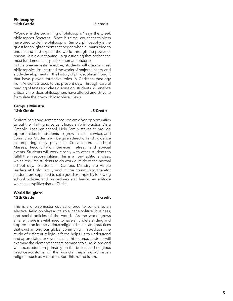"Wonder is the beginning of philosophy," says the Greek philosopher Socrates. Since his time, countless thinkers have tried to define philosophy. Simply, philosophy is the quest for enlightenment that began when humans tried to understand and explain the world through the power of reason. It is a questioning – a questioning that probes the most fundamental aspects of human existence.

In this one-semester elective, students will discuss great philosophical issues, read the works of major thinkers, and study developments in the history of philosophical thought that have played formative roles in Christian theology from Ancient Greece to the present day. Through careful reading of texts and class discussion, students will analyze critically the ideas philosophers have offered and strive to formulate their own philosophical views.

#### **Campus Ministry 12th Grade .5 Credit**

Seniors in this one-semester course are given opportunities to put their faith and servant leadership into action. As a Catholic, Lasallian school, Holy Family strives to provide opportunities for students to grow in faith, service, and community. Students will be given direction and guidance in preparing daily prayer at Convocation, all-school Masses, Reconciliation Services, retreat, and special events. Students will work closely with other students to fulfill their responsibilities. This is a non-traditional class, which requires students to do work outside of the normal school day. Students in Campus Ministry are visible leaders at Holy Family and in the community, therefor students are expected to set a good example by following school policies and procedures and having an attitude which exemplifies that of Christ.

#### **World Religions 12th Grade .5 credit**

This is a one-semester course offered to seniors as an elective. Religion plays a vital role in the political, business, and social policies of the world. As the world grows smaller, there is a vital need to have an understanding and appreciation for the various religious beliefs and practices that exist among our global community. In addition, the study of different religious faiths helps us to understand and appreciate our own faith. In this course, students will examine the elements that are common to all religions and will focus attention primarily on the beliefs and religious practices/customs of the world's major non-Christian religions such as Hinduism, Buddhism, and Islam.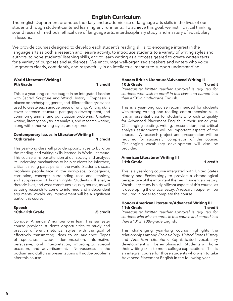# **English Curriculum**

The English Department promotes the daily and academic use of language arts skills in the lives of our students through student-centered learning environments. To achieve this goal, we instill critical thinking, sound research methods, ethical use of language arts, interdisciplinary study, and mastery of vocabulary in lessons.

We provide courses designed to develop each student's reading skills, to encourage interest in the language arts as both a research and leisure activity, to introduce students to a variety of writing styles and authors, to hone students' listening skills, and to learn writing as a process geared to create written texts for a variety of purposes and audiences. We encourage well-organized speakers and writers who voice judgments clearly, confidently, and respectfully in an intellectual manner to support understanding.

#### **World Literature/Writing I 9th Grade 1 credit**

This is a year-long course taught in an integrated fashion with Sacred Scripture and World History. Emphasis is placed on archetypes, genres, and different literary devices used to create each unique piece of writing. Writing skills cover sentence structure, paragraph development, and common grammar and punctuation problems. Creative writing, literary analysis, art analysis, and research writing, along with other writing styles, are explored.

#### **Contemporary Issues in Literature/Writing II 10th Grade 1 credit**

This year-long class will provide opportunities to build on the reading and writing skills learned in World Literature. This course aims our attention at our society and analyzes its underlying mechanisms to help students be informed, critical thinking participants in the world. Students discuss problems people face in the workplace, propaganda, corruption, concepts surrounding race and ethnicity, and suppression of human rights. Students will analyze rhetoric, bias, and what constitutes a quality source, as well as using research to come to informed and independent arguments. Vocabulary improvement will be a significant part of this course.

### **Speech 10th-12th Grade .5 credit**

Conquer Americans' number one fear! This semester course provides students opportunities to study and practice different rhetorical styles, with the goal of effectively transmitting ideas to an audience. Types of speeches include: demonstration, informative, persuasive, oral interpretation, impromptu, special occasion, and advertisement. Nervousness at the podium and dull class presentations will not be problems after this course.

#### **Honors British Literature/Advanced Writing II 10th Grade 1 credit**

*Prerequisite: Written teacher approval is required for students who wish to enroll in this class and earned less than a "B" in ninth-grade* English*.*

This is a year-long course recommended for students with strong writing and reading comprehension skills. It is an essential class for students who wish to qualify for Advanced Placement English in their senior year. Challenging reading, writing, presentation, and critical analysis assignments will be important aspects of the course. A research project and presentation will be required for successful completion of this course. Challenging vocabulary development will also be provided.

#### **American Literature/ Writing III 11th Grade 1 credit**

This is a year-long course integrated with United States History and Ecclesiology to provide a chronological perspective of the important themes in America's history. Vocabulary study is a significant aspect of this course, as is developing the critical essay. A research paper will be required in order to complete the course.

#### **Honors American Literature/Advanced Writing III 11th Grade 1 credit**

*Prerequisite: Written teacher approval is required for students who wish to enroll in this course and earned less than a "B" in 10th-grade* English*.*

This challenging year-long course highlights the relationships among *Ecclesiology, United States History*  and *American Literature*. Sophisticated vocabulary development will be emphasized. Students will hone their writing skills to meet college expectations. This is an integral course for those students who wish to take Advanced Placement English in the following year.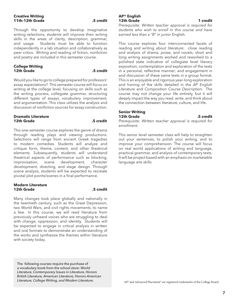#### **Creative Writing 11th-12th Grade .5 credit**

Through the opportunity to develop imaginative writing selections, students will improve their writing skills in the areas of clarity, description, grammar, and usage. Students must be able to function independently in a lab situation and collaboratively as peer critics. Writing and reading of fiction, nonfiction and poetry are included in this semester course.

#### **College Writing 12th Grade .5 credit**

Would you like to go to college prepared for professors' essay expectations? This semester course will focus on writing at the college level, focusing on skills such as the writing process, collegiate grammar, structuring different types of essays, vocabulary improvement, and argumentation. This class utilizes the analysis and discussion of nonfiction sources for essay construction.

#### **Dramatic Literature 12th Grade .5 credit**

This one-semester course explores the genre of drama through reading plays and viewing productions. Selections will range from ancient Greek tragedies to modern comedies. Students will analyze and critique form, theme, content, and other theatrical elements. Subsequently, students will understand theatrical aspects of performance such as blocking, improvisation, scene development, character development, directing, and stage design. Through scene analysis, students will be expected to recreate pivotal plot points/scenes in a final performance.

#### **Modern Literature 12th Grade .5 credit**

Many changes took place globally and nationally in the twentieth century, such as the Great Depression, two World Wars, and civil rights movements, to name a few. In this course, we will read literature from previously unheard voices who are struggling to deal with change, oppression, and identity. Students will be expected to engage in critical analysis in written and oral formats to demonstrate an understanding of the works and synthesize the themes within literature with society today.

The following courses require the purchase of a vocabulary book from the school store: *World Literature, Contemporary Issues in Literature, Honors British Literature, American Literature, Honors American Literature, College Writing, and Modern Literature.*

#### **AP® English 12th Grade 1 credit**

*Prerequisite: Written teacher approval is required for students who wish to enroll in this course and have earned less than a "B" in junior* English*.*

This course explores four interconnected facets of reading and writing about literature: close reading and analysis of drama, prose, and novels; short and long writing assignments worked and reworked to a polished state indicative of collegiate level literary exposition; contemplation and exploration of the texts in a personal, reflective manner; and engagement in and discussion of these same texts in a group format. This is an enjoyable and rigorous year-long exploration and honing of the skills detailed in the *AP English Literature* and *Composition Course Description*. The course may not change your life entirely, but it will deeply impact the way you read, write, and think about the connection between literature, culture, and life.

#### **Senior Writing 12th Grade .5 credit**

*Prerequisite: Written teacher approval is required for enrollment.*

This senior level semester class will help to straighten out your sentences, to polish your writing, and to improve your comprehension. The course will focus on real world applications of writing and language, practical grammar, and analysis of contemporary texts. It will be project based with an emphasis on marketable language arts skills.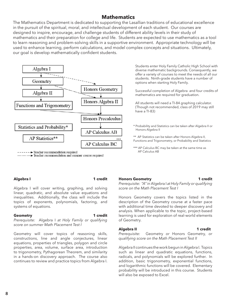# **Mathematics**

The Mathematics Department is dedicated to supporting the Lasallian traditions of educational excellence in the pursuit of the spiritual, moral, and intellectual development of each student. Our courses are designed to inspire, encourage, and challenge students of different ability levels in their study of mathematics and their preparation for college and life. Students are expected to use mathematics as a tool to learn reasoning and problem-solving skills in a supportive environment. Appropriate technology will be used to enhance learning, perform calculations, and model complex concepts and situations. Ultimately, our goal is develop mathematically confident students.



 $---$  Teacher recommendation required Teacher recommendation and summer course required Students enter Holy Family Catholic High School with diverse mathematic backgrounds. Consequently, we offer a variety of courses to meet the needs of all our students. Ninth-grade students have a number of options when starting Holy Family.

Successful completion of Algebra and four credits of mathematics are required for graduation.

All students will need a TI-84 graphing calculator. (Though not recommended, class of 2019 may still have a TI-83)

- \* Probability and Statistics can be taken after Algebra II or Honors Algebra II
- \*\* AP Statistics can be taken after Honors Algebra II, Functions and Trigonometry, or Probability and Statistics

### Algebra I **1** credit

Algebra I will cover writing, graphing, and solving linear, quadratic, and absolute value equations and inequalities. Additionally, the class will include the topics of exponents, polynomials, factoring, and systems of equations.

#### **Geometry 1 credit**

*Prerequisite:* Algebra I *at Holy Family or qualifying score on summer Math Placement Test I*

Geometry will cover topics of reasoning skills, constructions, line and angle conjectures, linear equations, properties of triangles, polygon and circle properties, area, volume, surface area, introduction to trigonometry, Pythagorean Theorem, and similarity in a hands-on discovery approach. The course also continues to review and practice topics from Algebra I.

**Honors Geometry 1 credit** *Prerequisite: "A" in* Algebra I *at Holy Family or qualifying score on the Math Placement Test I*

Honors Geometry covers the topics listed in the description of the Geometry course at a faster pace with additional time devoted to deeper discovery and analysis. When applicable to the topic, project-based learning is used for exploration of real-world elements of Geometry.

### Algebra II and a series of the series of the series of the series of the series of the series of the series of the series of the series of the series of the series of the series of the series of the series of the series of

*Prerequisite:* Geometry *or* Honors Geometry*, or qualifying score on the Math Placement Test II*

Algebra II continues the work begun in Algebra I. Topics such as linear and quadratic equations, functions, radicals, and polynomials will be explored further. In addition, basic trigonometry, exponential functions, and logarithmic functions will be covered. Elementary probability will be introduced in this course. Students will also be exposed to Excel.

<sup>\*\*\*</sup> AP Calculus BC may be taken at the same time as AP Calculus AB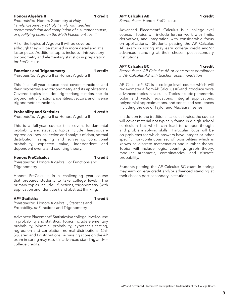#### **Honors Algebra II 1 1 1 1**

*Prerequisite:* Honors Geometry *at Holy Family,* Geometry *at Holy Family with teacher recommendation and completion of a summer course, or qualifying score on the Math Placement Test II*

All of the topics of Algebra II will be covered, although they will be studied in more detail and at a faster pace. Additional topics include: introductory trigonometry and elementary statistics in preparation for PreCalculus.

# **Functions and Trigonometry 1 credit**

*Prerequisite:* Algebra II *or* Honors Algebra II

This is a full-year course that covers functions and their properties and trigonometry and its applications. Covered topics include: right triangle ratios, the six trigonometric functions, identities, vectors, and inverse trigonometric functions.

### **Probability and Statistics 1 credit**

*Prerequisite:* Algebra II *or* Honors Algebra II

This is a full-year course that covers fundamental probability and statistics. Topics include: least square regression lines, collection and analysis of data, normal distribution, sampling and surveying, conditional probability, expected value, independent and dependent events and counting theory.

### **Honors PreCalculus 1 credit**

*Prerequisite:* Honors Algebra II *or* Functions and **Trigonometry** 

Honors PreCalculus is a challenging year course that prepares students to take college level. The primary topics include: functions, trigonometry (with application and identities), and abstract thinking.

### **AP**® **Statistics 1 credit**

*Prerequisite:* Honors Algebra II*,* Statistics and Probability*, or* Functions and Trigonometry

Advanced Placement® Statistics is a college-level course in probability and statistics. Topics include elementary probability, binomial probability, hypothesis testing, regression and correlation, normal distributions, Chi-Squared and t distributions. A passing score on the AP exam in spring may result in advanced standing and/or college credits.

### **AP**® **Calculus AB 1 credit**

### *Prerequisite:* Honors PreCalculus

Advanced Placement® Calculus is a college-level course. Topics will include further work with limits, derivatives, and integration with considerable focus on applications. Students passing the AP Calculus AB exam in spring may earn college credit and/or advanced standing at their chosen post-secondary institutions.

### **AP**® **Calculus BC 1 credit**

*Prerequisite: AP Calculus AB or concurrent enrollment in AP Calculus AB with teacher recommendation*

AP Calculus® BC is a college-level course which will review material from AP Calculus AB and introduce more advanced topics in calculus. Topics include parametric, polar and vector equations, integral applications, polynomial approximations, and series and sequences including the use of Taylor and Maclauran series.

In addition to the traditional calculus topics, the course will cover material not typically found in a high school curriculum but which can lead to deeper thought and problem solving skills. Particular focus will be on problems for which answers have integer or other specific non-continuous set of possibilities which is known as discrete mathematics and number theory. Topics will include logic, counting, graph theory, modular arithmetic, combinatorics, and discrete probability.

Students passing the AP Calculus BC exam in spring may earn college credit and/or advanced standing at their chosen post-secondary institutions.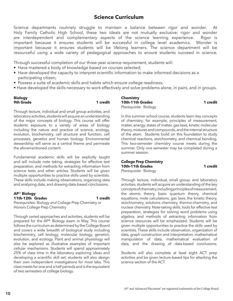Science departments routinely struggle to maintain a balance between rigor and wonder. At Holy Family Catholic High School, these two ideals are not mutually exclusive; rigor and wonder are interdependent and complementary aspects of the science learning experience. Rigor is important because it ensures students will be successful in college level academics. Wonder is important because it ensures students will be lifelong learners. The science department will be resourceful using a wide variety of pedagogical approaches to ensure students succeed in science.

Through successful completion of our three-year science requirement, students will:

- Have mastered a body of knowledge based on courses selected;
- Have developed the capacity to interpret scientific information to make informed decisions as a participating citizen;
- Possess a suite of academic skills and habits which ensure college readiness;
- Have developed the skills necessary to work effectively and solve problems alone, in pairs, and in groups.

#### **Biology 9th Grade 1 credit**

Through lecture, individual and small group activities, and laboratory activities, students will acquire an understanding of the major concepts of biology. This course will offer students exposure to a variety of areas of biology including the nature and practice of science, ecology, evolution, biochemistry, cell structure and function, cell processes, genetics and human biology. Environmental stewardship will serve as a central theme and permeate the aforementioned content.

Fundamental academic skills will be explicitly taught and will include note taking, strategies for effective test preparation, and methods for extracting information from science texts and other articles. Students will be given multiple opportunities to practice skills used by scientists. These skills include making observations, organizing data and analyzing data, and drawing data-based conclusions.

#### **AP**® **Biology 11th-12th Grades 1 credit**

*Prerequisites:* Biology *and* College Prep Chemistry or Honors College Prep Chemistry

Through varied approaches and activities, students will be prepared for the AP® Biology exam in May. This course follows the curriculum as determined by the College Board and covers a wide breadth of biological study including biochemistry, cell biology, molecular biology, genetics, evolution, and ecology. Plant and animal physiology will also be explored as illustrative examples of important cellular mechanisms. Students will spend approximately 25% of class time in the laboratory exploring ideas and developing a scientific skill set; students will also design their own independent investigations for most labs. This class meets for one and a half periods and is the equivalent of two semesters of college biology.

**Chemistry 10th-11th Grades 1 credit** *Prerequisite:* Biology

In this summer school course, students learn key concepts of chemistry; for example, principles of measurement, matter, energy, states of matter, gas laws, kinetic molecular theory, mixtures and compounds, and the internal structure of the atom. Students build on this foundation to study chemical reactions, stoichiometry, and chemical bonding. This two-semester chemistry course meets during the summer. Only one semester may be completed during a summer session.

#### **College Prep Chemistry 10th-11th Grades 1 credit** *Prerequisite:* Biology

Through lecture, individual, small group, and laboratory activities, students will acquire an understanding of the key concepts of chemistry, including principles of measurement, the atomic theory, basic quantum theory, chemical equations, mole calculations, gas laws, the kinetic theory, stoichiometry, solutions chemistry, thermo-chemistry, and nuclear chemistry. Note-taking skills, tools for effective test preparation, strategies for solving word problems using algebra, and methods of extracting information from science resources will be emphasized. Students will be given multiple opportunities to practice the skills used by scientists. These skills include observation, organization of data, graph construction and interpretation, mathematical manipulation of data, mathematical evaluation of data, and the drawing of data-based conclusions.

Students will also complete at least eight ACT prep activities and be given lecture-based tips for attacking the science section of the ACT.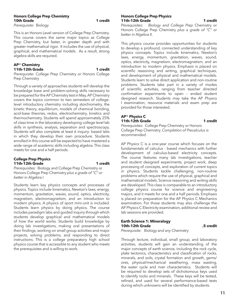#### **Honors College Prep Chemistry 10th Grade 1 credit**

*Prerequisite:* Biology

This is an Honors Level version of College Prep Chemistry. This course covers the same major topics as College Prep Chemistry, but faster, in greater depth and with greater mathematical rigor. It includes the use of physical, graphical, and mathematical models. As a result, strong algebra skills are required.

#### **AP**® **Chemistry 11th-12th Grade 1 credit**

*Prerequisite:* College Prep Chemistry *or* Honors College Prep Chemistry

Through a variety of approaches students will develop the knowledge base and problem-solving skills necessary to be prepared for the AP Chemistry test in May. AP Chemistry covers the topics common to two semesters of collegelevel introductory chemistry including stoichiometry, the kinetic theory, equilibrium, models of chemical bonding, acid-base theories, redox, electrochemistry, kinetics and thermochemistry. Students will spend approximately 25% of class time in the laboratory developing college level lab skills in synthesis, analysis, separation and spectroscopy. Students will also complete at least 6 inquiry- based labs in which they develop their own procedure. Students enrolled in this course will be expected to have mastered a wide range of academic skills including algebra. This class meets for one and a half periods.

#### **College Prep Physics 11th-12th Grade 1 credit**

*Prerequisites:* Biology and College Prep Chemistry or Honors College Prep Chemistry *plus a grade of "C" or better in* Algebra I

Students learn key physics concepts and processes of physics. Topics include kinematics, Newton's laws, energy, momentum, gravitation, waves, sound, optics, electricity, magnetism, electromagnetism, and an introduction to modern physics. A physics of sport mini-unit is included. Students learn physics by doing physics. The course includes paradigm labs and guided inquiry through which students develop graphical and mathematical models of how the world works. Students build knowledge by doing lab investigations, making oral presentations of their findings, working on small group activities and major projects, solving problems, and responding to direct instructions. This is a college preparatory high school physics course that is accessible to any student who meets the prerequisites and is willing to work.

# **Honors College Prep Physics**

**11th-12th Grade 11th-12th Grade 16th-12th Gradit**<br>**Prerequisites:** Biology and College Prep Chemistry or *Prerequisites: Biology and College Prep* Chemistry or Honors College Prep Chemistry *plus a grade of "C" or better in* Algebra II.

This physics course provides opportunities for students to develop a profound, connected understanding of key physics concepts. Topics include kinematics, Newton's laws, energy, momentum, gravitation, waves, sound, optics, electricity, magnetism, electromagnetism, and an introduction to modern physics. Emphasis is placed on scientific reasoning and writing, graphical techniques, and development of physical and mathematical models. Students learn to solve direct application and non-routine problems. Students take part in a variety of modes of scientific activities, ranging from teacher directed confirmation experiments to open – ended student designed research. Students may take the AP Physics I examination; resource materials and exam prep are provided for those interested.

#### **AP**® **Physics C 11th-12th Grade 1 credit**

*Prerequisites:* College Prep Chemistry or Honors College Prep Chemistry*. Completion of Precalculus is recommended.*

AP Physics C is a one-year course which focuses on the fundamentals of calculus - based mechanics with further development of calculus-based electricity concepts. The course features many lab investigations, teacher and student designed experiments, project work, deep processing of concepts, and exploration of current topics in physics. Students tackle challenging, non-routine problems which require the use of physical, graphical and mathematical models. Science reasoning and writing skills are developed. This class is comparable to an introductory college physics course for science and engineering majors, and it meets for one and a half periods. Emphasis is placed on preparation for the AP Physics C Mechanics examination. For those students may also challenge the AP Physics C Electricity examination, additional review and lab sessions are provided.

### **Earth Science 1: Mineralogy 10th-12th Grade .5 credit**

*Prerequisite:* Biology *and any* Chemistry

Through lecture, individual, small group, and laboratory activities, students will gain an understanding of the major concepts of earth science, including the rock cycle, plate tectonics, characteristics and classification of rocks, minerals, and soils, crystal formation and growth, gems/ ores, physical/mechanical weathering, mass wasting, the water cycle and river characteristics. Students will be required to develop sets of dichotomous keys used to identify rocks and minerals. These keys will be tested, refined, and used for several performance-based tests during which unknowns will be identified by students.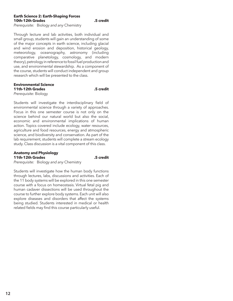#### **Earth Science 2: Earth-Shaping Forces 10th-12th Grades .5 credit**

*Prerequisite:* Biology *and any* Chemistry

Through lecture and lab activities, both individual and small group, students will gain an understanding of some of the major concepts in earth science, including glacial and wind erosion and deposition, historical geology, meteorology, oceanography, astronomy (including comparative planetology, cosmology, and modern theory), petrology in reference to fossil fuel production and use, and environmental stewardship. As a component of the course, students will conduct independent and group research which will be presented to the class.

### **Environmental Science 11th-12th Grades .5 credit**

*Prerequisite:* Biology

Students will investigate the interdisciplinary field of environmental science through a variety of approaches. Focus in this one semester course is not only on the science behind our natural world but also the social, economic and environmental implications of human action. Topics covered include ecology, water resources, agriculture and food resources, energy and atmospheric science, and biodiversity and conservation. As part of the lab requirement, students will complete a stream ecology study. Class discussion is a vital component of this class.

#### **Anatomy and Physiology 11th-12th Grades .5 credit**

*Prerequisite:* Biology *and any* Chemistry

Students will investigate how the human body functions through lectures, labs, discussions and activities. Each of the 11 body systems will be explored in this one semester course with a focus on homeostasis. Virtual fetal pig and human cadaver dissections will be used throughout the course to further explore body systems. Each unit will also explore diseases and disorders that affect the systems being studied. Students interested in medical or health related fields may find this course particularly useful.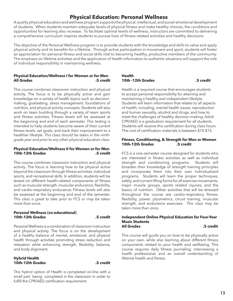# **Physical Education: Personal Wellness**

A quality physical education and wellness program supports the physical, intellectual, and social-emotional development of students. When students maintain adequate levels of physical fitness and make healthy choices, the conditions and opportunities for learning also increase. To facilitate optimal levels of wellness, instructors are committed to delivering a comprehensive curriculum inspires students to pursue lives of fitness-related activities and healthy decisions.

The objective of the Personal Wellness program is to provide students with the knowledge and skills to value and apply physical activity and its benefits for a lifetime. Through active participation in movement and sport, students will foster an appreciation for personal fitness and social skills vital to becoming healthy, productive members of the community. The emphasis on lifetime activities and the application of health information to authentic situations will support the role of individual responsibility in maintaining wellness.

#### **Physical Education/Wellness I for Women or for Men All Grades .5 credit**

This course combines classroom instruction and physical activity. The focus is to be physically active and gain knowledge on a variety of health topics such as decisionmaking, goalsetting, stress management, foundations of nutrition, and physical activity concepts. Students will also work on team building through a variety of team sports and fitness activities. Fitness levels will be assessed at the beginning and end of each semester. This testing is intended to help students become aware of their current fitness levels, set goals, and track their improvement to a healthier lifestyle. *This class should be taken in the ninthgrade year and prior to any other physical education class.*

#### **Physical Education/Wellness II for Women or for Men 10th-12th Grades .5 credit**

This course combines classroom instruction and physical activity. The focus is learning how to be physical active beyond the classroom through fitness activities, individual sports, and recreational skills. In addition, students will be tested on different health-related components of fitness such as muscular strength, muscular endurance, flexibility, and cardio-respiratory endurance. Fitness levels will also be assessed at the beginning and end of the semester. *This class is great to take prior to FCS or may be taken more than onc*e.

#### **Personal Wellness (co-educational) 10th-12th Grades .5 credit**

Personal Wellness is a combination of classroom instruction and physical activity. The focus is on the development of a healthy balance of mental, emotional, and physical health through activities promoting stress reduction and relaxation while enhancing strength, flexibility, balance, and body alignment.

#### **Hybrid Health 10th-12th Grades .5 credit**

This hybrid option of Health is completed on-line with a small part being completed in the classroom in order to fulfill the CPR/AED certification requirement.

#### **Health 10th -12th Grades .5 credit**

Health is a required course that encourages students to accept personal responsibility for attaining and maintaining a healthy and independent lifestyle. Students will learn information that relates to all aspects of health, including, mental health issues, reproduction and human sexuality, alcohol and drugs, and how to meet the challenges of healthy decision-making. Adult CPR/AED is a graduation requirement for all students. Students will receive this certification during class hours. The cost of certification materials is between \$10-\$15.

#### **Fitness, Conditioning, & Strength for Men or Women 10th-12th Grades .5 credit**

FCS is a one-semester course designed for students who are interested in fitness activities as well as individual strength and conditioning programs. Students will broaden their knowledge of strength training principles and incorporate them into their own individualized programs. Students will learn the proper techniques, safety, and correct lifting forms for all exercise movements, major muscle groups, sports related injuries, and the basics of nutrition. Other activities that will be stressed throughout the course are cardio-respiratory fitness, flexibility, power, plyometrics, circuit training, muscular strength, and endurance exercises. *This class may be taken more than once.*

#### **Independent Online Physical Education for Four-Year Music Students All Grades .5 credit**

This course will guide you on how to be physically active on your own, while also learning about different fitness components related to your health and wellbeing. This course requires daily fitness journaling, interviewing a health professional, and an overall understanding of lifetime health and fitness.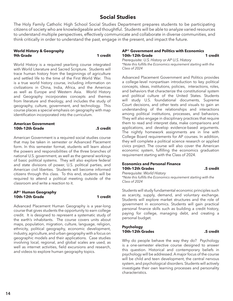# **Social Studies**

The Holy Family Catholic High School Social Studies Department prepares students to be participating citizens of society who are knowledgeable and thoughtful. Students will be able to analyze varied resources to understand multiple perspectives, effectively communicate and collaborate in diverse communities, and think critically in order to understand the past, engage in the present, and impact the future.

#### **World History & Geography 9th Grade 1 credit**

World History is a required yearlong course integrated with World Literature and Sacred Scripture. Students will trace human history from the beginnings of agriculture and settled life to the time of the First World War. This is a true world history course, including information on civilizations in China, India, Africa, and the Americas as well as Europe and Western Asia. World History and Geography incorporates concepts and themes from literature and theology, and includes the study of geography, culture, government, and technology. This course places a special emphasis on geography with map identification incorporated into the curriculum.

#### **American Government 10th-12th Grade .5 credit**

American Government is a required social studies course that may be taken in semester or Advanced Placement form. In this semester format, students will learn about the powers and responsibilities of the three branches of national U.S. government, as well as the general workings of basic political systems. They will also explore federal and state divisions of power, U.S. political parties, and American civil liberties. Students will become informed citizens through this class. To this end, students will be required to attend a political meeting outside of the classroom and write a reaction to it.

#### **AP**® **Human Geography 10th-12th Grade 1 credit**

Advanced Placement Human Geography is a year-long course that gives students the opportunity to earn college credit. It is designed to represent a systematic study of the earth's inhabitants. The course covers units about maps, population, migration, culture, language, religion, ethnicity, political geography, economic development, industry, agriculture, and urban geography with a focus on geographic models and their applications. Case studies involving local, regional, and global scales are used, as well as internet activities, field excursions and research, and videos to explore human geography topics.

#### **AP**® **Government and Politics with Economics 10th–12th Grade 1 credit**

*Prerequisite: U.S. History or AP U.S. History \*Note this fulfills the Economics requirement starting with the Class of 2024*

Advanced Placement Government and Politics provides a college-level nonpartisan introduction to key political concepts, ideas, institutions, policies, interactions, roles, and behaviors that characterize the constitutional system and political culture of the United States. Students will study U.S. foundational documents, Supreme Court decisions, and other texts and visuals to gain an understanding of the relationships and interactions among political institutions, processes, and behaviors. They will also engage in disciplinary practices that require them to read and interpret data, make comparisons and applications, and develop evidence-based arguments. The nightly homework assignments are in line with College Board requirements for AP courses. In addition, they will complete a political science research or applied civics project. The course will also cover the American economic system, fulfilling the economics graduation requirement starting with the Class of 2024.

#### **Economics and Personal Finance 10th-12th Grades .5 credit**

*Prerequisite: World History*

*\*Note this fulfills the Economics requirement starting with the Class of 2024*

Students will study fundamental economic principles such as scarcity, supply, demand, and voluntary exchange. Students will explore market structures and the role of government in economics. Students will gain practical personal finance skills such as building a credit history, paying for college, managing debt, and creating a personal budget.

### **Psychology 10th-12th Grades .5 credit**

Why do people behave the way they do? Psychology is a one-semester elective course designed to answer this question. Historical and contemporary beliefs in psychology will be addressed. A major focus of the course will be child and teen development, the central nervous system, and psychological disorders. Students will actively investigate their own learning processes and personality characteristics.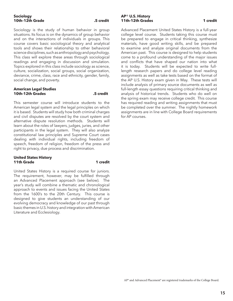#### **Sociology 10th–12th Grade .5 credit**

Sociology is the study of human behavior in group situations. Its focus is on the dynamics of group behavior and on the interactions of individuals in groups. This course covers basic sociological theory and analytical tools and shows their relationship to other behavioral science disciplines, such as anthropology and psychology. This class will explore these areas through sociological readings and engaging in discussion and simulation. Topics explored in this class include sociology as science, culture, socialization, social groups, social organization, deviance, crime, class, race and ethnicity, gender, family, social change, and poverty.

#### **American Legal Studies 10th-12th Grades .5 credit**

This semester course will introduce students to the American legal system and the legal principles on which it is based. Students will study how both criminal charges and civil disputes are resolved by the court system and alternative dispute resolution methods. Students will learn about the roles of lawyers, judges, juries, and other participants in the legal system. They will also analyze constitutional law principles and Supreme Court cases dealing with individual rights, including freedom of speech, freedom of religion, freedom of the press and right to privacy, due process and discrimination.

#### **United States History 11th Grade 1 credit**

United States History is a required course for juniors. The requirement, however, may be fulfilled through an Advanced Placement approach (see below). The year's study will combine a thematic and chronological approach to events and issues facing the United States from the 1600's to the 20th Century. This course is designed to give students an understanding of our evolving democracy and knowledge of our past through basic themes in U.S. history and integration with American Literature and Ecclesiology.

#### **AP**® **U.S. History 11th-12th Grades** 1 **credit**

Advanced Placement United States History is a full-year college level course. Students taking this course must be prepared to engage in critical thinking, synthesize materials, have good writing skills, and be prepared to examine and analyze original documents from the American past. This course is designed to help students come to a profound understanding of the major issues and conflicts that have shaped our nation into what it is today. Students will be expected to write fulllength research papers and do college level reading assignments as well as take tests based on the format of the AP U.S. History exam given in May. These tests will include analysis of primary source documents as well as full-length essay questions requiring critical thinking and analysis of historical trends. Students who do well on the spring exam may receive college credit. This course has required reading and writing assignments that must be completed over the summer. The nightly homework assignments are in line with College Board requirements for AP courses.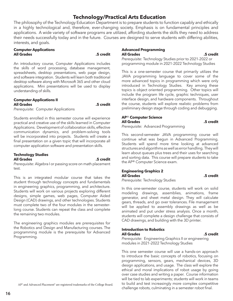# **Technology/Practical Arts Education**

The philosophy of the Technology Education Department is to prepare students to function capably and ethically in a highly technological and, therefore, ever-changing society. Emphasis is on fundamental principles and applications. A wide variety of software programs are utilized, affording students the skills they need to address their needs successfully today and in the future. Courses are designed to serve students with differing abilities, interests, and goals.

#### **Computer Applications All Grades .5 credit**

An introductory course, Computer Applications includes the skills of word processing, database management, spreadsheets, desktop presentations, web page design, and software integration. Students will learn both traditional desktop software along with Microsoft 365 and other cloud applications. Mini presentations will be used to display understanding of skills.

### **Computer Applications II All Grades .5 credit**

*Prerequisite:* Computer Applications

Students enrolled in this semester course will experience practical and creative use of the skills learned in Computer Applications. Development of collaboration skills, effective communication dynamics, and problem-solving tools will be incorporated into projects. Students will create a final presentation on a given topic that will incorporate all computer application software and presentation skills.

#### **Technology Studies All Grades .5 credit**

*Prerequisite:* Algebra I or passing score on math placement test.

This is an integrated modular course that takes the student through technology concepts and fundamentals in engineering graphics, programming, and architecture. Students will work on various projects exploring different designs, simple games, web pages, Computer Aided Design (CAD) drawings, and other technologies. Students must complete two of the four modules in the semesterlong course. Students can repeat the class and complete the remaining two modules.

The engineering graphics modules are prerequisites for the Robotics and Design and Manufacturing courses. The programming module is the prerequisite for Advanced Programming.

#### **Advanced Programming All Grades .5 credit**

*Prerequisite:* Technology Studies prior to 2021-2022 or programming module in 2021-2022 Technology Studies

This is a one-semester course that primarily utilizes the JAVA programming language to cover some of the more advanced topics in programming which were only introduced in Technology Studies. Key among these topics is object oriented programming. Other topics will include the program life cycle, graphic techniques, user interface design, and hardware components. Throughout the course, students will explore realistic problems from preliminary design stage through coding and debugging.

### **AP**® **Computer Science All Grades .5 credit**

*Prerequisite:* Advanced Programming

This second-semester JAVA programming course will continue what was begun in Advanced Programming. Students will spend more time looking at advanced structures and algorithms as well as error handling. They will learn about queues plus trees and their uses for searching and sorting data. This course will prepare students to take the AP® Computer Science exam.

### **Engineering Graphics 2 All Grades .5 credit**

*Prerequisite:* Technology Studies

In this one-semester course, students will work on solid modeling drawings, assemblies, animations, frame generator, and sheet metal design. They will calculate gears, threads, and go over tolerances. File management will be applied to assembly drawings as well as be animated and put under stress analysis. Once a month, students will complete a design challenge that consists of CAD drawings, and building with the 3D printer.

#### **Introduction to Robotics All Grades .5 credit**

*Prerequisite:* Engineering Graphics II or engineering modules in 2021-2022 Technology Studies

This one semester course will use a hands-on approach to introduce the basic concepts of robotics, focusing on programming, sensors, gears, mechanical devices, 3D design applications, and usage. The class will explore the ethical and moral implications of robot usage by going over case studies and writing a paper. Course information will be tied to lab experiments; students will work in teams to build and test increasingly more complex competitive challenge robots, culminating in a semester robot final.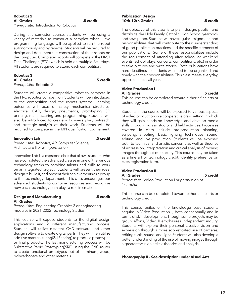### **Robotics 2 All Grades .5 credit**

*Prerequisite:* Introduction to Robotics

During this semester course, students will be using a variety of materials to construct a complex robot. Java programming language will be applied to run the robot autonomously and by remote. Students will be required to design and document the construction of their robots on the computer. Completed robots will compete in the FIRST Tech Challenge (FTC) which is held on multiple Saturdays. All students are required to attend each competition.

#### **Robotics 3 All Grades .5 credit**

*Prerequisite:* Robotics 2

Students will create a competitive robot to compete in the FRC robotics competition. Students will be introduced to the competition and the robots systems. Learning outcomes will focus on safety, mechanical structures, electrical, CAD, design, pneumatics, prototyping, 3D printing, manufacturing and programming. Students will also be introduced to create a business plan, outreach, and strategic analysis of their work. Students will be required to compete in the MN qualification tournament.

#### **Innovation Lab .5 credit**

*Prerequisite:* Robotics*,* AP Computer Science*,*  Architecture II *or with permission*

Innovation Lab is a capstone class that allows students who have completed the advanced classes in one of the various technology tracks to combine talents and skills to work on an integrated project. Students will present their idea, design it, build it, and present their achievements as a group to the technology department. This class encourages our advanced students to combine resources and recognize how each technology path plays a role in creation.

#### **Design and Manufacturing .5 credit All Grades**

*Prerequisite:* Engineering Graphics 2 or engineering modules in 2021-2022 Technology Studies

This course will expose students to the digital design applications and 2 different manufacturing process. Students will utilize different CAD software and other design software to create digital parts. They will then utilize additive manufacturing(3d Printing) to produce prototypes or final products. The last manufacturing process will be Subtractive Rapid Prototyping(SRP) using the CNC router to create functional prototypes out of aluminum, wood, polycarbonate and other materials.

### **Publication Design 10th-12th Grades .5 credit**

The objective of this class is to plan, design, publish and distribute the Holy Family Catholic High School yearbook and newspaper. Students will have regular assignments and responsibilities that will contribute to their understanding of good publication practices and the specific elements of our publications. Some of these responsibilities include the requirement of attending after school or weekend events (school plays, concerts, competitions, etc.) in order to take pictures and write stories. Both publications have hard deadlines so students will need to be organized and timely with their responsibilities. This class meets everyday, opposite lunch, all year.

#### **Video Production I All Grades .5 credit**

This course can be completed toward either a fine arts or technology credit.

Students in the course will be exposed to various aspects of video production in a cooperative crew setting in which they will gain hands-on knowledge and develop media skills through in-class, studio, and field activities. Processes covered in class include pre-production planning, scripting, shooting, basic lighting techniques, sound, editing, and live production. Students will be exposed both to technical and artistic concerns as well as theories of expression, interpretation and critical analysis of moving images throughout our society. This course may be taken as a fine art or technology credit. Identify preference on class registration form.

#### **Video Production II All Grades .5 credit**

*Prerequisite:* Video Production I *or permission of instructor*

This course can be completed toward either a fine arts or technology credit.

This course builds off the knowledge base students acquire in Video Production I, both conceptually and in terms of skill development. Though some projects may be group efforts, Video II emphasizes independent inquiry. Students will explore their personal creative vision and expression through a more sophisticated use of cameras, editing tools, sound, and light. Students will also develop a better understanding of the use of moving images through a greater focus on artistic theories and analysis.

**Photography II - See description under Visual Arts.**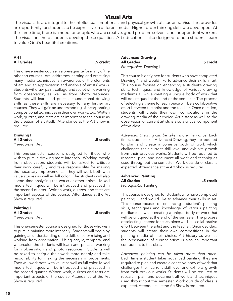## **Visual Arts**

The visual arts are integral to the intellectual, emotional, and physical growth of students. Visual art provides an opportunity for students to be expressive in different media. Higher order thinking skills are developed. At the same time, there is a need for people who are creative, good problem solvers, and independent workers. The visual arts help students develop these qualities. Art education is also designed to help students learn to value God's beautiful creations.

### **Art I All Grades .5 credit**

This one-semester course is a prerequisite for many of the other art courses. Art I addresses learning and practicing many media techniques, an awareness of the elements of art, and an appreciation and analysis of artists' works. Students will draw, paint, collage, and sculpt while working from observation, as well as from photo resources. Students will learn and practice foundational drawing skills as these skills are necessary for any further art courses. They will gain an understanding of incorporating compositional techniques in their own works, too. Written work, quizzes, and tests are as important to the course as the creation of art itself. Attendance at the Art Show is required.

#### **Drawing I All Grades .5 credit** *Prerequisite:* Art I

This one-semester course is designed for those who wish to pursue drawing more intensely. Working mostly from observation, students will be asked to critique their work carefully and take responsibility for making the necessary improvements. They will work both with value studies as well as full color. The students will also spend time analyzing the works of other artists. Mixed media techniques will be introduced and practiced in the second quarter. Written work, quizzes, and tests are important aspects of the course. Attendance at the Art Show is required.

| <b>Painting I</b>   |  |
|---------------------|--|
| <b>All Grades</b>   |  |
| Prerequisite: Art I |  |

**All Grades .5 credit**

This one-semester course is designed for those who wish to pursue painting more intensely. Students will begin by gaining an understanding of the skills of color mixing and working from observation. Using acrylic, tempera, and watercolor, the students will learn and practice working form observation and photo resources. Students will be asked to critique their work more deeply and take responsibility for making the necessary improvements. They will work both with value as well as full color. Mixed media techniques will be introduced and practiced in the second quarter. Written work, quizzes and tests are important aspects of the course. Attendance at the Art Show is required.

#### **Advanced Drawing All Grades .5 credit** *Prerequisite:* Drawing I

This course is designed for students who have completed Drawing 1 and would like to advance their skills in art. This course focuses on enhancing a student's drawing skills, techniques, and knowledge of various drawing mediums all while creating a unique body of work that will be critiqued at the end of the semester. The process of selecting a theme for each piece will be a collaborative effort between the artist and the teacher. Once decided, students will create their own compositions in the drawing media of their choice. Art history as well as the observation of current artists is also a critical component of this class.

*Advanced Drawing can be taken more than once.* Each time a student takes Advanced Drawing, they are required to plan and create a cohesive body of work which challenges their current skill level and exhibits growth from their previous works. Students will be required to research, plan, and document all work and techniques used throughout the semester. Work outside of class is expected. Attendance at the Art Show is required.

#### **Advanced Painting All Grades .5 credit**

*Prerequisite:* Painting I

This course is designed for students who have completed painting 1 and would like to advance their skills in art. This course focuses on enhancing a student's painting skills, techniques and knowledge of various painting mediums all while creating a unique body of work that will be critiqued at the end of the semester. The process of selecting a theme for each piece will be a collaborative effort between the artist and the teacher. Once decided, students will create their own compositions in the painting media of their choice. Art history as well as the observation of current artists is also an important component to this class.

*Advanced painting can be taken more than once.* Each time a student takes advanced painting, they are required to plan and create a cohesive body of work that challenges their current skill level and exhibits growth from their previous works. Students will be required to research, plan, and document all work and techniques used throughout the semester. Work outside of class is expected. Attendance at the Art Show is required.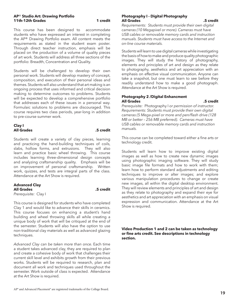#### **AP**® **Studio Art: Drawing Portfolio 11th-12th Grades** 1 **credit**

This course has been designed to accommodate students who have expressed an interest in completing the AP® Drawing Portfolio exam. All content meets the requirements as stated in the student exam poster. Through direct teacher instruction, emphasis will be placed on the production of a volume of quality pieces of art work. Students will address all three sections of the portfolio: Breadth, Concentration and Quality.

Students will be challenged to develop their own personal work. Students will develop mastery of concept, composition, and execution of their personal ideas and themes. Students will also understand that art making is an ongoing process that uses informed and critical decision making to determine outcomes to problems. Students will be expected to develop a comprehensive portfolio that addresses each of these issues in a personal way. Formulaic solutions to problems are discouraged. This course requires two class periods, year-long in addition to pre-course summer work.

#### **Clay I All Grades .5 credit**

Students will create a variety of clay pieces, learning and practicing the hand-building techniques of coils, slabs, hollow forms, and extrusions. They will also learn and practice basic wheel throwing. This course includes learning three-dimensional design concepts and analyzing craftsmanship quality. Emphasis will be on improvement of personal craftsmanship. Written work, quizzes, and tests are integral parts of the class. Attendance at the Art Show is required.

#### **Advanced Clay All Grades .5 credit** *Prerequisite:* Clay I

This course is designed for students who have completed Clay 1 and would like to advance their skills in ceramics. This course focuses on enhancing a student's hand building and wheel throwing skills all while creating a unique body of work that will be critiqued at the end of the semester. Students will also have the option to use non-traditional clay materials as well as advanced glazing techniques.

*Advanced Clay can be taken more than once.* Each time a student takes advanced clay, they are required to plan and create a cohesive body of work that challenges their current skill level and exhibits growth from their previous works. Students will be required to research, plan and document all work and techniques used throughout the semester. Work outside of class is expected. Attendance at the Art Show is required.

#### **Photography I - Digital Photography All Grades .5 credit**

*Requirements: Students must provide their own digital cameras (10 Megapixel or more). Cameras must have USB cables or removable memory cards and instruction manuals. Students must have access to the Internet and on-line course materials.*

Students will learn to use digital cameras while investigating the basis of how to make and produce quality photographic images. They will study the history of photography, elements and principles of art and design as they relate to photography, aesthetics and art appreciation with an emphasis on effective visual communication. Anyone can take a snapshot, but one must learn to see before they readily understand how to make a good photograph. Attendance at the Art Show is required.

### **Photography 2 /Digital Enhancment All Grades .5 credit**

*Prerequisite:* Photography I *or permission of instructor. Requirements: Students must provide their own digital cameras (5 Mega-pixel or more and pen/flash drive (128 MB or better – 256 MB preferred). Cameras must have USB cables or removable memory cards and instruction manuals.*

This course can be completed toward either a fine arts or technology credit.

Students will learn how to improve existing digital images as well as how to create new dynamic images using photographic imaging software. They will study basic image file formats and how to work with them; learn how to perform standard adjustments and editing techniques to improve or alter images; and explore various manipulation procedures to change or create new images, all within the digital desktop environment. They will review elements and principles of art and design as they relate to photography and expand their eye for aesthetics and art appreciation with an emphasis on visual expression and communication. Attendance at the Art Show is required.

### **Video Production 1 and 2 can be taken as technology or fine arts credit. See descriptions in technology section.**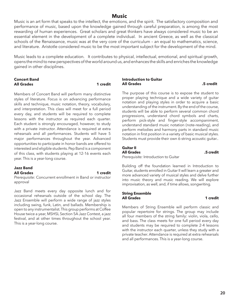### **Music**

Music is an art form that speaks to the intellect, the emotions, and the spirit. The satisfactory composition and performance of music, based upon the knowledge gained through careful preparation, is among the most rewarding of human experiences. Great scholars and great thinkers have always considered music to be an essential element in the development of a complete individual. In ancient Greece, as well as the classical schools of the Renaissance, music was at the very core of the curriculum – an equal to mathematics, science, and literature. Aristotle considered music to be the most important subject for the development of the mind.

Music leads to a complete education. It contributes to physical, intellectual, emotional, and spiritual growth, opens the mind to new perspectives of the world around us, and enhances the skills and enriches the knowledge gained in other disciplines.

#### **Concert Band All Grades 1 credit**

Members of Concert Band will perform many distinctive styles of literature. Focus is on advancing performance skills and technique, music notation, theory, vocabulary, and interpretation. This class will meet for a full period every day, and students will be required to complete lessons with the instructor as required each quarter. Each student is strongly encouraged, however, to study with a private instructor. Attendance is required at extra rehearsals and all performances. Students will have 5 major performances throughout the year. Advanced opportunities to participate in honor bands are offered to interested and eligible students. Pep Band is a component of this class, with students playing at 12-16 events each year. This is a year-long course.

#### **Jazz Band All Grades 1 credit**

*Prerequisite:* Concurrent enrollment in Band or instructor approval

Jazz Band meets every day opposite lunch and for occasional rehearsals outside of the school day. The Jazz Ensemble will perform a wide range of jazz styles including swing, funk, Latin, and ballads. Membership is open to any instrumentalist. This group performs at Coffee House twice a year, MSHSL Section 5A Jazz Contest, a jazz festival, and at other times throughout the school year. This is a year-long course.

#### **Introduction to Guitar All Grades .5 credit**

The purpose of this course is to expose the student to proper playing technique and a wide variety of guitar notation and playing styles in order to acquire a basic understanding of the instrument. By the end of the course, students will be able to perform several common chord progressions, understand chord symbols and charts, perform pick-style and finger-style accompaniment, understand standard music notation (note-reading), and perform melodies and harmony parts in standard music notation in first position in a variety of basic musical styles. Students must provide their own 6-string acoustic guitar..

### **Guitar II**

### **All Grades .5 credit**

*Prerequisite:* Introduction to Guitar

Building off the foundation learned in Introduction to Guitar, students enrolled in Guitar II will learn a greater and more advanced variety of musical styles and delve further into music theory and music reading. We will explore improvisation, as well, and, if time allows, songwriting.

#### **String Ensemble All Grades 1 credit**

Members of String Ensemble will perform classic and popular repertoire for strings. The group may include all four members of the string family: violin, viola, cello, and bass. The class meets for one full period every day and students may be required to complete 2-4 lessons with the instructor each quarter, unless they study with a private teacher. Attendance is required at extra rehearsals and all performances. This is a year-long course.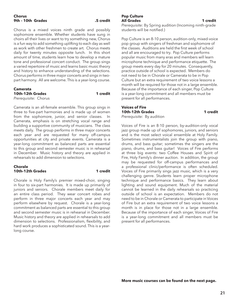#### **Chorus 9th – 10th Grades .5 credit**

Chorus is a mixed voices ninth grade and possibly sophomore ensemble. Whether students have sung in choirs all their lives or want to try something new, Chorus is a fun way to add something uplifting to each day as well as work with other freshmen to create art. Chorus meets daily for twenty minutes opposite lunch. In this short amount of time, students learn how to develop a mature tone and professional concert conduct. The group sings a varied repertoire of music and learns basic music theory and history to enhance understanding of the selections. Chorus performs in three major concerts and sings in twopart harmony. All are welcome. This is a year-long course.

| <b>Camerata</b>      |          |
|----------------------|----------|
| 10th-12th Grades     | 1 credit |
| Prerequisite: Chorus |          |

Camerata is an all-female ensemble. This group sings in three to five-part harmonies and is made up of women from the sophomore, junior, and senior classes. In Camerata, emphasis is on stretching vocal range and building a supportive community of musicians. The class meets daily. The group performs in three major concerts each year and are requested for many off-campus opportunities at city and private events. Camerata is a year-long commitment as balanced parts are essential to this group and second semester music is in rehearsal in December. Music history and theory are applied in rehearsals to add dimension to selections.

#### **Chorale 10th-12th Grades 1 credit**

Chorale is Holy Family's premier mixed-choir, singing in four to six-part harmonies. It is made up primarily of juniors and seniors. Chorale members meet daily for an entire class period. They wear concert robes and perform in three major concerts each year and may perform elsewhere by request. Chorale is a year-long commitment as balanced parts are essential to this group and second semester music is in rehearsal in December. Music history and theory are applied in rehearsals to add dimension to selections. Professionalism, flexibility, and hard work produces a sophisticated sound. This is a yearlong course.

#### **Pop Culture All Grades 1 credit**

*Prerequisite:* By Spring audition (Incoming ninth-grade students will be notified.)

Pop Culture is an 8-10 person, audition-only, mixed-voice pop group with singers of freshman and sophomore of the classes. Auditions are held the first week of school and all are encouraged to try. Pop Culture performs popular music from many eras and members will learn microphone technique and performance etiquette. The group meets every day for 20 minutes. Consequently, practice outside of school is expected. Members do not need to be in Chorale or Camerata to be in Pop Culture but an extra requirement of two voice lessons a month will be required for those not in a large ensemble. Because of the importance of each singer, Pop Culture is a year-long commitment and all members must be present for all performances.

### **Voices of Fire 10th-12th Grades 1 credit**

*Prerequisite:* By audition

Voices of Fire is an 8-10 person, by-audition-only vocal jazz group made up of sophomores, juniors, and seniors and is the most select voical ensemble at Holy Family. Sometimes instrumentalists join the group with piano, drums, and bass guitar; sometimes the singers are the piano, drums, and bass guitar! Voices of Fire performs at three big events: two Coffee Houses and Spirit of Fire, Holy Family's dinner auction. In addition, the group may be requested for off-campus performances and a professional clinic/performance is often scheduled. Voices of Fire primarily sings jazz music, which is a very challenging genre. Students learn proper microphone technique and performance basics. They learn about lighting and sound equipment. Much of the material cannot be learned in the daily rehearsals so practicing outside of school is an expectation. Members do not need to be in Chorale or Camerata to participate in Voices of Fire but an extra requirement of two voice lessons a month is in place for those not in a large ensemble. Because of the importance of each singer, Voices of Fire is a year-long commitment and all members must be present for all performances.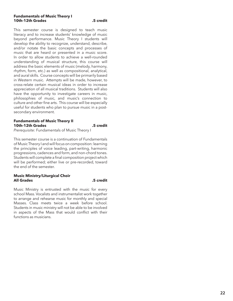#### **Fundamentals of Music Theory I 10th-12th Grades .5 credit**

This semester course is designed to teach music literacy and to increase students' knowledge of music beyond performance. Music Theory I students will develop the ability to recognize, understand, describe, and/or notate the basic concepts and processes of music that are heard or presented in a music score. In order to allow students to achieve a well-rounded understanding of musical structure, this course will address the basic elements of music (melody, harmony, rhythm, form, etc.) as well as compositional, analytical, and aural skills. Course concepts will be primarily based in Western music. Attempts will be made, however, to cross-relate certain musical ideas in order to increase appreciation of all musical traditions. Students will also have the opportunity to investigate careers in music, philosophies of music, and music's connection to culture and other fine arts. This course will be especially useful for students who plan to pursue music in a postsecondary environment.

#### **Fundamentals of Music Theory II 10th-12th Grades .5 credit**

*Prerequisite:* Fundamentals of Music Theory I

This semester course is a continuation of Fundamentals of Music Theory I and will focus on composition: learning the principles of voice leading, part-writing, harmonic progressions, cadences and form, and non-chord tones. Students will complete a final composition project which will be performed; either live or pre-recorded, toward the end of the semester.

#### **Music Ministry/Liturgical Choir All Grades .5 credit**

Music Ministry is entrusted with the music for every school Mass. Vocalists and instrumentalist work together to arrange and rehearse music for monthly and special Masses. Class meets twice a week before school. Students in music ministry will not be able to be involved in aspects of the Mass that would conflict with their functions as musicians.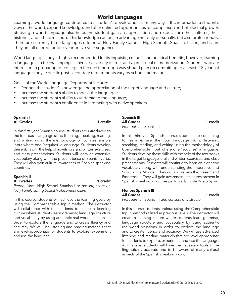# **World Languages**

Learning a world language contributes to a student's development in many ways. It can broaden a student's view of the world, expand knowledge, and offer unlimited opportunities for comparison and intellectual growth. Studying a world language also helps the student gain an appreciation and respect for other cultures, their histories, and ethnic makeup. This knowledge can be an advantage not only personally, but also professionally. There are currently three languages offered at Holy Family Catholic High School: Spanish, Italian, and Latin. They are all offered for four-year or five-year sequences.

World language study is highly recommended for its linguistic, cultural, and practical benefits; however, learning a language can be challenging. It involves a variety of skills and a great deal of memorization. Students who are interested in preparing for college in the most thorough way should plan on committing to at least 2-3 years of language study. Specific post-secondary requirements vary by school and major.

Goals of the World Language Department include:

- Deepen the student's knowledge and appreciation of the target language and culture;
- Increase the student's ability to speak the language.;
- Increase the student's ability to understand the language;
- Increase the student's confidence in interacting with native speakers.

#### **Spanish I All Grades 1 credit**

In this first-year Spanish course, students are introduced to the four basic language skills: listening, speaking, reading, and writing using the methodology of Comprehensible Input where one "acquires" a language. Students develop these skills with the help of novels, oral and written exercises, and class presentations. Students will learn an extensive vocabulary along with the present tense of Spanish verbs. They will also gain cultural awareness of Spanish speaking countries.

#### **Spanish II All Grades 1 credit** *Prerequisite:* High School Spanish I *or passing score on*

*Holy Family spring Spanish placement exam*

In this course, students will achieve the learning goals by using the Comprehensible Input method. The instructor will collaborate with the students to create a learning culture where students learn grammar, language structure and vocabulary by using authentic real-world situations in order to explore the language and to create fluency and accuracy. We will use listening and reading materials that are level-appropriate for students to explore, experiment and use the language.

**Spanish III All Grades 1 credit** *Prerequisite:* Spanish II

In this third-year Spanish course, students are continuing to learn & use the four language skills: listening, speaking, reading, and writing using the methodology of Comprehensible Input where one "acquires" a language. Students develop these skills with the help of the two books in the target language, oral and written exercises, and class presentations. Students will continue to learn an extensive vocabulary along with understanding the Imperative and Subjunctive Moods. They will also review the Present and Past tenses. They will gain awareness of cultures present in Spanish speaking countries particularly Costa Rica & Spain.

#### **Honors Spanish III All Grades 1 credit**

*Prerequisite:* Spanish II *and consent of instructor*

In this course, students ontinue using the Comprehensible Input method utilized in previous levels. The instructor will create a learning culture where students learn grammar, language structure and vocabulary by using authentic real-world situations in order to explore the language and to create fluency and accuracy. We will use advanced listening and reading materials that are level-appropriate for students to explore, experiment and use the language. At this level students will have the necessary tools to be linguistically accurate and to be aware of many cultural aspects of the Spanish speaking world.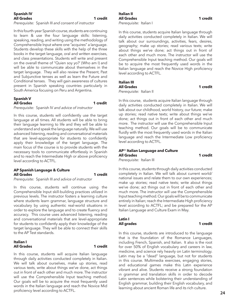#### **Spanish IV All Grades 1 credit**

*Prerequisite:* Spanish III *and consent of instructor*

In this fourth-year Spanish course, students are continuing to learn & use the four language skills: listening, speaking, reading, and writing using the methodology of Comprehensible Input where one "acquires" a language. Students develop these skills with the help of the three books in the target language, oral and written exercises, and class presentations. Students will write and present on the overall theme of "Quien soy yo?' (Who am I) and will be able to communicate about themselves in the target language. They will also review the Present, Past and Subjunctive tenses as well as learn the Future and Conditional tenses. They will gain awareness of cultures present in Spanish speaking countries particularly in South America focusing on Peru and Argentina.

#### **Spanish V** All Grades **1 1 credit** *Prerequisite:* Spanish IV *and advice of instructor*

In this course, students will confidently use the target language at all times. All students will be able to bring their language learning to life and they will be able to understand and speak the language naturally. We will use advanced listening, reading and conversational materials that are level-appropriate for students to confidently apply their knowledge of the target language. The main focus of the course is to provide students with the necessary tools to communicate effortlessly in Spanish and to reach the Intermediate High or above proficiency level according to ACTFL.

#### **AP Spanish Language & Culture All Grades 1 credit**

#### *Prerequisite:* Spanish III *and advice of instructor*

In this course, students will continue using the Comprehensible Input skill-building practices utilized in previous levels. The instructor fosters a learning culture where students learn grammar, language structure and vocabulary by using authentic real-world situations in order to explore the language and to create fluency and accuracy. This course uses advanced listening, reading and conversational materials that are level-appropriate for students to confidently apply their knowledge of the target language. They will be able to connect their skills to the AP Test standards.

#### **Italian I All Grades 1 credit**

In this course, students will acquire Italian language through daily activities conducted completely in Italian. We will talk about ourselves, make up stories, read various texts, write about things we've done, act things out in front of each other and much more. The instructor will use the Comprehensible Input teaching method. Our goals will be to acquire the most frequently used words in the Italian language and reach the Novice Mid proficiency level according to ACTFL.

In this course, students acquire Italian language through daily activities conducted completely in Italian. We will talk about our surroundings, activities, fears, desires, geography; make up stories; read various texts; write about things we've done; act things out in front of each other and much more. The instructor will use the Comprehensible Input teaching method. Our goals will be to acquire the most frequently used words in the Italian language and reach the Novice High proficiency level according to ACTFL.

#### **Italian III All Grades 1 credit**

*Prerequisite:* Italian II

In this course, students acquire Italian language through daily activities conducted completely in Italian. We will talk about our childhood, world history, our future; make up stories; read native texts; write about things we've done; act things out in front of each other and much more. The instructor will use the Comprehensible Input teaching method. Our goals will be to communicate fluidly with the most frequently used words in the Italian language and reach the Intermediate Low proficiency level according to ACTFL.

#### **AP**® **Italian Language and Culture All Grades 1 credit** *Prerequisite:* Italian III

In this course, students through daily activities conducted completely in Italian. We will talk about current world/ national issues and relate them to our own experiences; make up stories; read native texts; write about things we've done; act things out in front of each other and much more. The instructor will use the Comprehensible Input teaching method. Our goals will be to communicate entirely in Italian; reach the Intermediate High proficiency level according to ACTFL; and be prepared for the AP Italian Language and Culture Exam in May.

#### **Latin I All grades 1 credit**

In this course, students are introduced to the language that is the foundation of the Romance Languages, including French, Spanish, and Italian. It also is the root for over 50% of English vocabulary and careers in law, medicine, and science rely heavily on Latin terminology. Latin may be a "dead" language, but not for students in this course. Multimedia exercises, engaging stories, and educational games make this Latin experience vibrant and alive. Students receive a strong foundation in grammar and translation skills in order to decode Latin sentences while bolstering their understanding of English grammar, building their English vocabulary, and learning about ancient Roman life and its rich culture.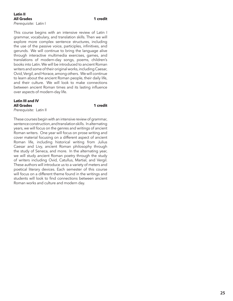#### **Latin II All Grades 1 credit** *Prerequisite:* Latin I

This course begins with an intensive review of Latin I grammar, vocabulary, and translation skills. Then we will explore more complex sentence structures, including the use of the passive voice, participles, infinitives, and gerunds. We will continue to bring the language alive through interactive multimedia exercises, games, and translations of modern-day songs, poems, children's books into Latin. We will be introduced to ancient Roman writers and some of their original works, including Caesar, Ovid, Vergil, and Horace, among others. We will continue to learn about the ancient Roman people, their daily life,

and their culture. We will look to make connections between ancient Roman times and its lasting influence

**Latin III and IV All Grades 1 credit**

*Prerequisite:* Latin II

over aspects of modern-day life.

These courses begin with an intensive review of grammar, sentence construction, and translation skills. In alternating years, we will focus on the genres and writings of ancient Roman writers. One year will focus on prose writing and cover material focusing on a different aspect of ancient Roman life, including historical writing from Julius Caesar and Livy, ancient Roman philosophy through the study of Seneca, and more. In the alternating year, we will study ancient Roman poetry through the study of writers including Ovid, Catullus, Martial, and Vergil. These authors will introduce us to a variety of meters and poetical literary devices. Each semester of this course will focus on a different theme found in the writings and students will look to find connections between ancient Roman works and culture and modern day.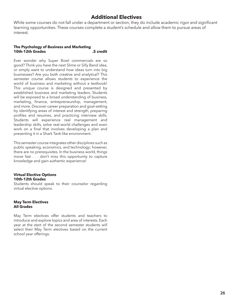# **Additional Electives**

While some courses do not fall under a department or section, they do include academic rigor and significant learning opportunities. These courses complete a student's schedule and allow them to pursue areas of interest.

#### **The Psychology of Business and Marketing 10th-12th Grades .5 credit**

Ever wonder why Super Bowl commercials are so good? Think you have the next Slime or Silly Band idea, or simply want to understand how ideas turn into big businesses? Are you both creative and analytical? This semester course allows students to experience the world of business and marketing without a textbook! This unique course is designed and presented by established business and marketing leaders. Students will be exposed to a broad understanding of business, marketing, finance, entrepreneurship, management, and more. Discover career preparation and goal-setting by identifying areas of interest and strength, preparing profiles and resumes, and practicing interview skills. Students will experience real management and leadership skills, solve real-world challenges and even work on a final that involves developing a plan and presenting it in a Shark Tank-like environment.

This semester course integrates other disciplines such as public speaking, economics, and technology; however, there are no prerequisites. In the business world, things move fast . . . don't miss this opportunity to capture knowledge and gain authentic experience!

#### **Virtual Elective Options 10th-12th Grades**

Students should speak to their counselor regarding virtual elective options.

#### **May Term Electives All Grades**

May Term electives offer students and teachers to introduce and explore topics and area of interests. Each year at the start of the second semester students will select their May Term electives based on the current school year offerings.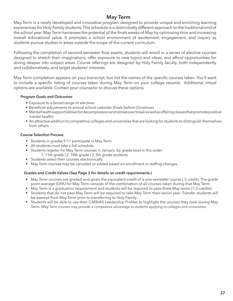# **May Term**

May Term is a newly developed and innovative program designed to provide unique and enriching learning experiences for Holy Family students. This schedule is a distinctively different approach to the traditional end of the school year. May Term harnesses the potential of the finals weeks of May by optimizing time and increasing overall educational value. It promotes a school environment of excitement, engagement, and inquiry as students pursue studies in areas outside the scope of the current curriculum.

Following the completion of second-semester final exams, students will enroll in a series of elective courses designed to stretch their imaginations, offer exposure to new topics and ideas, and afford opportunities for diving deeper into subject areas. Course offerings are designed by Holy Family faculty, both independently and collaboratively, and target students' interests.

May Term completion appears on your transcript, but not the names of the specific courses taken. You'll want to include a specific listing of courses taken during May Term on your college resume. Additional virtual options are available. Contact your counselor to discuss these options.

### **Program Goals and Outcomes**

- Exposure to a broad range of electives
- Beneficial adjustments to annual school calendar (finals before Christmas)
- Mental health support (allows for decompression and retreat over break as well as offering classes that promote positive mental health)
- An attractive addition to competitive colleges and universities that are looking for students to distinguish themselves from others

### **Course Selection Process**

- Students in grades 9-11 participate in May Term.
- All students must take a full schedule.
- Students register for May Term courses in January by grade level in this order: 1. 11th grade | 2. 10th grade | 3. 9th grade students.
- Students select their courses electronically.
- May Term courses may be canceled or added based on enrollment or staffing changes.

### **Grades and Credit Values (See Page 3 for details on credit requirements.)**

- May Term courses are graded and given the equivalent credit of a one-semester course (.5 credit). The grade point average (GPA) for May Term consists of the combination of all courses taken during that May Term.
- May Term is a graduation requirement and students will be required to pass three May terms (1.5 credits).
- Students that do not pass May Term will be required to take May Term their senior year. Transfer students will be exempt from May Term prior to transferring to Holy Family.
- Students will be able to use their CANVAS Leadership Profiles to highlight the courses they took during May Term. May Term courses may provide a competitive advantage to students applying to colleges and universities.